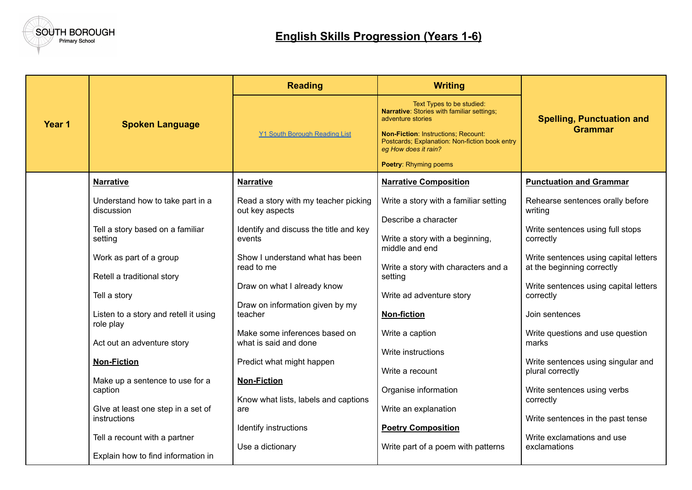

|        |                                                       | <b>Reading</b>                                                 | <b>Writing</b>                                                                                                                                                                                                                                       |                                                                     |
|--------|-------------------------------------------------------|----------------------------------------------------------------|------------------------------------------------------------------------------------------------------------------------------------------------------------------------------------------------------------------------------------------------------|---------------------------------------------------------------------|
| Year 1 | <b>Spoken Language</b>                                | <b>Y1 South Borough Reading List</b>                           | Text Types to be studied:<br>Narrative: Stories with familiar settings;<br>adventure stories<br><b>Non-Fiction: Instructions: Recount:</b><br>Postcards; Explanation: Non-fiction book entry<br>eg How does it rain?<br><b>Poetry: Rhyming poems</b> | <b>Spelling, Punctuation and</b><br><b>Grammar</b>                  |
|        | <b>Narrative</b>                                      | <b>Narrative</b>                                               | <b>Narrative Composition</b>                                                                                                                                                                                                                         | <b>Punctuation and Grammar</b>                                      |
|        | Understand how to take part in a<br>discussion        | Read a story with my teacher picking<br>out key aspects        | Write a story with a familiar setting                                                                                                                                                                                                                | Rehearse sentences orally before<br>writing                         |
|        | Tell a story based on a familiar<br>setting           | Identify and discuss the title and key<br>events               | Describe a character<br>Write a story with a beginning,<br>middle and end                                                                                                                                                                            | Write sentences using full stops<br>correctly                       |
|        | Work as part of a group<br>Retell a traditional story | Show I understand what has been<br>read to me                  | Write a story with characters and a<br>setting                                                                                                                                                                                                       | Write sentences using capital letters<br>at the beginning correctly |
|        | Tell a story                                          | Draw on what I already know<br>Draw on information given by my | Write ad adventure story                                                                                                                                                                                                                             | Write sentences using capital letters<br>correctly                  |
|        | Listen to a story and retell it using<br>role play    | teacher                                                        | <b>Non-fiction</b>                                                                                                                                                                                                                                   | Join sentences                                                      |
|        | Act out an adventure story                            | Make some inferences based on<br>what is said and done         | Write a caption                                                                                                                                                                                                                                      | Write questions and use question<br>marks                           |
|        | <b>Non-Fiction</b>                                    | Predict what might happen                                      | Write instructions<br>Write a recount                                                                                                                                                                                                                | Write sentences using singular and<br>plural correctly              |
|        | Make up a sentence to use for a<br>caption            | <b>Non-Fiction</b><br>Know what lists, labels and captions     | Organise information                                                                                                                                                                                                                                 | Write sentences using verbs<br>correctly                            |
|        | Give at least one step in a set of<br>instructions    | are                                                            | Write an explanation                                                                                                                                                                                                                                 | Write sentences in the past tense                                   |
|        | Tell a recount with a partner                         | Identify instructions<br>Use a dictionary                      | <b>Poetry Composition</b><br>Write part of a poem with patterns                                                                                                                                                                                      | Write exclamations and use<br>exclamations                          |
|        | Explain how to find information in                    |                                                                |                                                                                                                                                                                                                                                      |                                                                     |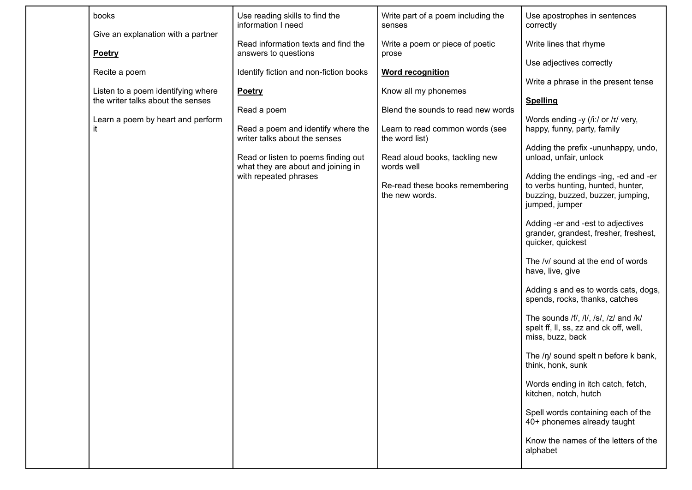| Use reading skills to find the<br>Write part of a poem including the<br>books<br>Use apostrophes in sentences<br>information I need<br>correctly<br>senses<br>Give an explanation with a partner<br>Read information texts and find the<br>Write a poem or piece of poetic<br>Write lines that rhyme<br>answers to questions<br><b>Poetry</b><br>prose<br>Use adjectives correctly<br>Identify fiction and non-fiction books<br><b>Word recognition</b><br>Recite a poem<br>Write a phrase in the present tense<br>Know all my phonemes<br>Listen to a poem identifying where<br>Poetry<br>the writer talks about the senses<br><b>Spelling</b><br>Blend the sounds to read new words<br>Read a poem<br>Learn a poem by heart and perform<br>Words ending -y (/i:/ or /ɪ/ very,<br>happy, funny, party, family<br>Read a poem and identify where the<br>Learn to read common words (see<br>it<br>the word list)<br>writer talks about the senses<br>Adding the prefix -ununhappy, undo,<br>unload, unfair, unlock<br>Read or listen to poems finding out<br>Read aloud books, tackling new<br>what they are about and joining in<br>words well<br>with repeated phrases<br>Adding the endings -ing, -ed and -er<br>to verbs hunting, hunted, hunter,<br>Re-read these books remembering<br>the new words.<br>buzzing, buzzed, buzzer, jumping,<br>jumped, jumper<br>Adding -er and -est to adjectives<br>grander, grandest, fresher, freshest,<br>quicker, quickest<br>The /v/ sound at the end of words<br>have, live, give<br>Adding s and es to words cats, dogs,<br>spends, rocks, thanks, catches<br>The sounds /f/, /l/, /s/, /z/ and /k/<br>spelt ff, II, ss, zz and ck off, well,<br>miss, buzz, back<br>The /n/ sound spelt n before k bank,<br>think, honk, sunk<br>Words ending in itch catch, fetch,<br>kitchen, notch, hutch<br>Spell words containing each of the<br>40+ phonemes already taught<br>Know the names of the letters of the<br>alphabet |  |  |  |
|--------------------------------------------------------------------------------------------------------------------------------------------------------------------------------------------------------------------------------------------------------------------------------------------------------------------------------------------------------------------------------------------------------------------------------------------------------------------------------------------------------------------------------------------------------------------------------------------------------------------------------------------------------------------------------------------------------------------------------------------------------------------------------------------------------------------------------------------------------------------------------------------------------------------------------------------------------------------------------------------------------------------------------------------------------------------------------------------------------------------------------------------------------------------------------------------------------------------------------------------------------------------------------------------------------------------------------------------------------------------------------------------------------------------------------------------------------------------------------------------------------------------------------------------------------------------------------------------------------------------------------------------------------------------------------------------------------------------------------------------------------------------------------------------------------------------------------------------------------------------------------------------------------------------------------------------------------------------|--|--|--|
|                                                                                                                                                                                                                                                                                                                                                                                                                                                                                                                                                                                                                                                                                                                                                                                                                                                                                                                                                                                                                                                                                                                                                                                                                                                                                                                                                                                                                                                                                                                                                                                                                                                                                                                                                                                                                                                                                                                                                                    |  |  |  |
|                                                                                                                                                                                                                                                                                                                                                                                                                                                                                                                                                                                                                                                                                                                                                                                                                                                                                                                                                                                                                                                                                                                                                                                                                                                                                                                                                                                                                                                                                                                                                                                                                                                                                                                                                                                                                                                                                                                                                                    |  |  |  |
|                                                                                                                                                                                                                                                                                                                                                                                                                                                                                                                                                                                                                                                                                                                                                                                                                                                                                                                                                                                                                                                                                                                                                                                                                                                                                                                                                                                                                                                                                                                                                                                                                                                                                                                                                                                                                                                                                                                                                                    |  |  |  |
|                                                                                                                                                                                                                                                                                                                                                                                                                                                                                                                                                                                                                                                                                                                                                                                                                                                                                                                                                                                                                                                                                                                                                                                                                                                                                                                                                                                                                                                                                                                                                                                                                                                                                                                                                                                                                                                                                                                                                                    |  |  |  |
|                                                                                                                                                                                                                                                                                                                                                                                                                                                                                                                                                                                                                                                                                                                                                                                                                                                                                                                                                                                                                                                                                                                                                                                                                                                                                                                                                                                                                                                                                                                                                                                                                                                                                                                                                                                                                                                                                                                                                                    |  |  |  |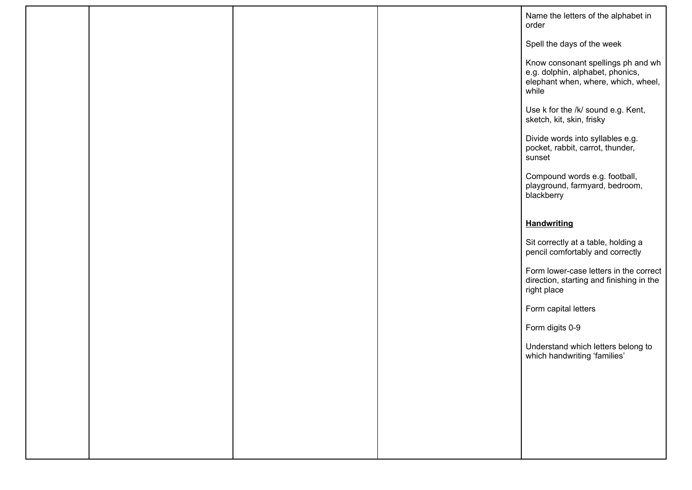|  |  | Name the letters of the alphabet in<br>order                                                                           |
|--|--|------------------------------------------------------------------------------------------------------------------------|
|  |  | Spell the days of the week                                                                                             |
|  |  | Know consonant spellings ph and wh<br>e.g. dolphin, alphabet, phonics,<br>elephant when, where, which, wheel,<br>while |
|  |  | Use k for the /k/ sound e.g. Kent,<br>sketch, kit, skin, frisky                                                        |
|  |  | Divide words into syllables e.g.<br>pocket, rabbit, carrot, thunder,<br>sunset                                         |
|  |  | Compound words e.g. football,<br>playground, farmyard, bedroom,<br>blackberry                                          |
|  |  | <b>Handwriting</b>                                                                                                     |
|  |  |                                                                                                                        |
|  |  | Sit correctly at a table, holding a<br>pencil comfortably and correctly                                                |
|  |  | Form lower-case letters in the correct<br>direction, starting and finishing in the<br>right place                      |
|  |  | Form capital letters                                                                                                   |
|  |  | Form digits 0-9                                                                                                        |
|  |  | Understand which letters belong to<br>which handwriting 'families'                                                     |
|  |  |                                                                                                                        |
|  |  |                                                                                                                        |
|  |  |                                                                                                                        |
|  |  |                                                                                                                        |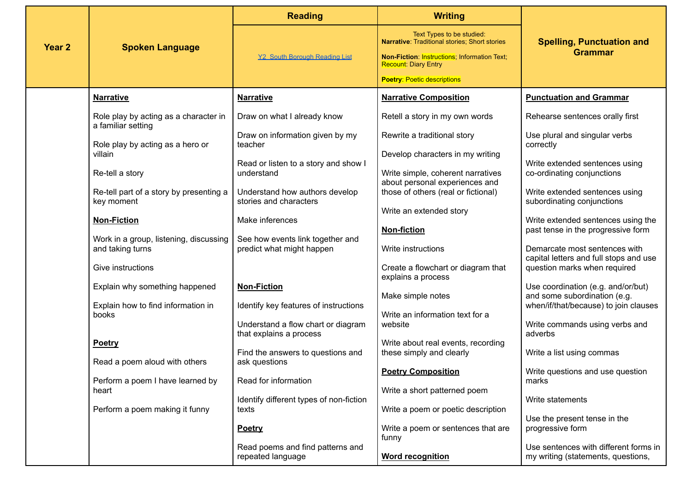|                   |                                                             | <b>Reading</b>                                           | <b>Writing</b>                                                              |                                                                             |
|-------------------|-------------------------------------------------------------|----------------------------------------------------------|-----------------------------------------------------------------------------|-----------------------------------------------------------------------------|
| Year <sub>2</sub> | <b>Spoken Language</b>                                      |                                                          | Text Types to be studied:<br>Narrative: Traditional stories; Short stories  | <b>Spelling, Punctuation and</b><br><b>Grammar</b>                          |
|                   |                                                             | <b>Y2 South Borough Reading List</b>                     | Non-Fiction: Instructions; Information Text;<br><b>Recount: Diary Entry</b> |                                                                             |
|                   |                                                             |                                                          | <b>Poetry: Poetic descriptions</b>                                          |                                                                             |
|                   | <b>Narrative</b>                                            | <b>Narrative</b>                                         | <b>Narrative Composition</b>                                                | <b>Punctuation and Grammar</b>                                              |
|                   | Role play by acting as a character in<br>a familiar setting | Draw on what I already know                              | Retell a story in my own words                                              | Rehearse sentences orally first                                             |
|                   | Role play by acting as a hero or                            | Draw on information given by my<br>teacher               | Rewrite a traditional story                                                 | Use plural and singular verbs<br>correctly                                  |
|                   | villain                                                     |                                                          | Develop characters in my writing                                            |                                                                             |
|                   | Re-tell a story                                             | Read or listen to a story and show I<br>understand       | Write simple, coherent narratives<br>about personal experiences and         | Write extended sentences using<br>co-ordinating conjunctions                |
|                   | Re-tell part of a story by presenting a<br>key moment       | Understand how authors develop<br>stories and characters | those of others (real or fictional)                                         | Write extended sentences using<br>subordinating conjunctions                |
|                   |                                                             |                                                          | Write an extended story                                                     |                                                                             |
|                   | <b>Non-Fiction</b>                                          | Make inferences                                          | <b>Non-fiction</b>                                                          | Write extended sentences using the<br>past tense in the progressive form    |
|                   | Work in a group, listening, discussing                      | See how events link together and                         |                                                                             |                                                                             |
|                   | and taking turns                                            | predict what might happen                                | Write instructions                                                          | Demarcate most sentences with                                               |
|                   | Give instructions                                           |                                                          | Create a flowchart or diagram that<br>explains a process                    | capital letters and full stops and use<br>question marks when required      |
|                   | Explain why something happened                              | <b>Non-Fiction</b>                                       |                                                                             | Use coordination (e.g. and/or/but)                                          |
|                   | Explain how to find information in                          | Identify key features of instructions                    | Make simple notes                                                           | and some subordination (e.g.<br>when/if/that/because) to join clauses       |
|                   | books                                                       | Understand a flow chart or diagram                       | Write an information text for a<br>website                                  | Write commands using verbs and                                              |
|                   | <b>Poetry</b>                                               | that explains a process                                  | Write about real events, recording                                          | adverbs                                                                     |
|                   | Read a poem aloud with others                               | Find the answers to questions and<br>ask questions       | these simply and clearly                                                    | Write a list using commas                                                   |
|                   |                                                             |                                                          | <b>Poetry Composition</b>                                                   | Write questions and use question                                            |
|                   | Perform a poem I have learned by<br>heart                   | Read for information                                     | Write a short patterned poem                                                | marks                                                                       |
|                   |                                                             | Identify different types of non-fiction                  |                                                                             | Write statements                                                            |
|                   | Perform a poem making it funny                              | texts                                                    | Write a poem or poetic description                                          | Use the present tense in the                                                |
|                   |                                                             | Poetry                                                   | Write a poem or sentences that are<br>funny                                 | progressive form                                                            |
|                   |                                                             | Read poems and find patterns and<br>repeated language    | <b>Word recognition</b>                                                     | Use sentences with different forms in<br>my writing (statements, questions, |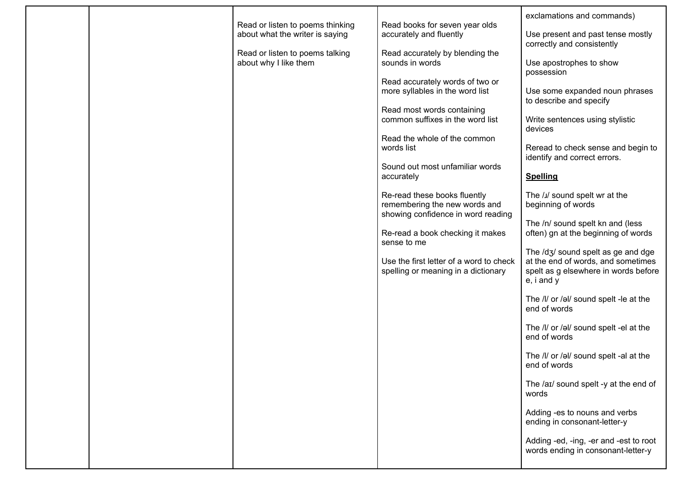|  | Read or listen to poems thinking<br>about what the writer is saying<br>Read or listen to poems talking<br>about why I like them | Read books for seven year olds<br>accurately and fluently<br>Read accurately by blending the<br>sounds in words<br>Read accurately words of two or<br>more syllables in the word list<br>Read most words containing<br>common suffixes in the word list<br>Read the whole of the common<br>words list<br>Sound out most unfamiliar words<br>accurately<br>Re-read these books fluently<br>remembering the new words and<br>showing confidence in word reading<br>Re-read a book checking it makes<br>sense to me<br>Use the first letter of a word to check<br>spelling or meaning in a dictionary | exclamations and commands)<br>Use present and past tense mostly<br>correctly and consistently<br>Use apostrophes to show<br>possession<br>Use some expanded noun phrases<br>to describe and specify<br>Write sentences using stylistic<br>devices<br>Reread to check sense and begin to<br>identify and correct errors.<br><b>Spelling</b><br>The /J/ sound spelt wr at the<br>beginning of words<br>The /n/ sound spelt kn and (less<br>often) gn at the beginning of words<br>The /dʒ/ sound spelt as ge and dge<br>at the end of words, and sometimes<br>spelt as g elsewhere in words before<br>e, i and y<br>The /l/ or /əl/ sound spelt -le at the<br>end of words |
|--|---------------------------------------------------------------------------------------------------------------------------------|----------------------------------------------------------------------------------------------------------------------------------------------------------------------------------------------------------------------------------------------------------------------------------------------------------------------------------------------------------------------------------------------------------------------------------------------------------------------------------------------------------------------------------------------------------------------------------------------------|--------------------------------------------------------------------------------------------------------------------------------------------------------------------------------------------------------------------------------------------------------------------------------------------------------------------------------------------------------------------------------------------------------------------------------------------------------------------------------------------------------------------------------------------------------------------------------------------------------------------------------------------------------------------------|
|  |                                                                                                                                 |                                                                                                                                                                                                                                                                                                                                                                                                                                                                                                                                                                                                    |                                                                                                                                                                                                                                                                                                                                                                                                                                                                                                                                                                                                                                                                          |
|  |                                                                                                                                 |                                                                                                                                                                                                                                                                                                                                                                                                                                                                                                                                                                                                    |                                                                                                                                                                                                                                                                                                                                                                                                                                                                                                                                                                                                                                                                          |
|  |                                                                                                                                 |                                                                                                                                                                                                                                                                                                                                                                                                                                                                                                                                                                                                    |                                                                                                                                                                                                                                                                                                                                                                                                                                                                                                                                                                                                                                                                          |
|  |                                                                                                                                 |                                                                                                                                                                                                                                                                                                                                                                                                                                                                                                                                                                                                    |                                                                                                                                                                                                                                                                                                                                                                                                                                                                                                                                                                                                                                                                          |
|  |                                                                                                                                 |                                                                                                                                                                                                                                                                                                                                                                                                                                                                                                                                                                                                    |                                                                                                                                                                                                                                                                                                                                                                                                                                                                                                                                                                                                                                                                          |
|  |                                                                                                                                 |                                                                                                                                                                                                                                                                                                                                                                                                                                                                                                                                                                                                    |                                                                                                                                                                                                                                                                                                                                                                                                                                                                                                                                                                                                                                                                          |
|  |                                                                                                                                 |                                                                                                                                                                                                                                                                                                                                                                                                                                                                                                                                                                                                    | The /l/ or /əl/ sound spelt -el at the<br>end of words                                                                                                                                                                                                                                                                                                                                                                                                                                                                                                                                                                                                                   |
|  |                                                                                                                                 |                                                                                                                                                                                                                                                                                                                                                                                                                                                                                                                                                                                                    | The /l/ or /əl/ sound spelt -al at the<br>end of words                                                                                                                                                                                                                                                                                                                                                                                                                                                                                                                                                                                                                   |
|  |                                                                                                                                 |                                                                                                                                                                                                                                                                                                                                                                                                                                                                                                                                                                                                    | The /aɪ/ sound spelt -y at the end of<br>words                                                                                                                                                                                                                                                                                                                                                                                                                                                                                                                                                                                                                           |
|  |                                                                                                                                 |                                                                                                                                                                                                                                                                                                                                                                                                                                                                                                                                                                                                    | Adding -es to nouns and verbs<br>ending in consonant-letter-y                                                                                                                                                                                                                                                                                                                                                                                                                                                                                                                                                                                                            |
|  |                                                                                                                                 |                                                                                                                                                                                                                                                                                                                                                                                                                                                                                                                                                                                                    | Adding -ed, -ing, -er and -est to root<br>words ending in consonant-letter-y                                                                                                                                                                                                                                                                                                                                                                                                                                                                                                                                                                                             |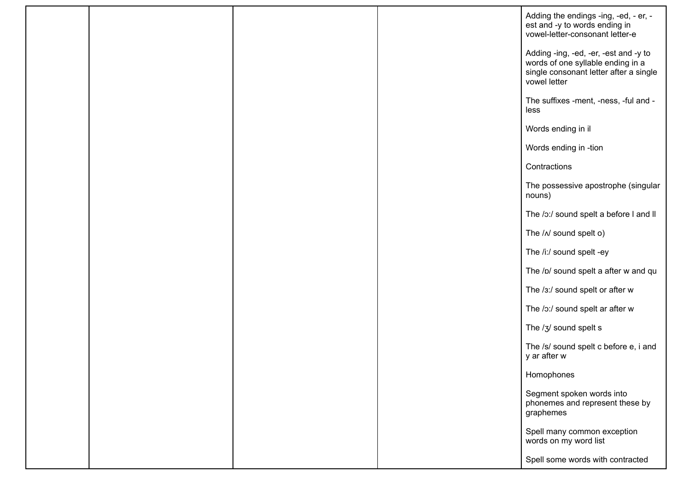|  |  | Adding the endings -ing, -ed, - er, -<br>est and -y to words ending in<br>vowel-letter-consonant letter-e                            |
|--|--|--------------------------------------------------------------------------------------------------------------------------------------|
|  |  | Adding -ing, -ed, -er, -est and -y to<br>words of one syllable ending in a<br>single consonant letter after a single<br>vowel letter |
|  |  | The suffixes -ment, -ness, -ful and -<br>less                                                                                        |
|  |  | Words ending in il                                                                                                                   |
|  |  | Words ending in -tion                                                                                                                |
|  |  | Contractions                                                                                                                         |
|  |  | The possessive apostrophe (singular<br>nouns)                                                                                        |
|  |  | The /o:/ sound spelt a before I and II                                                                                               |
|  |  | The / N sound spelt o)                                                                                                               |
|  |  | The /i:/ sound spelt -ey                                                                                                             |
|  |  | The /p/ sound spelt a after w and qu                                                                                                 |
|  |  | The /3:/ sound spelt or after w                                                                                                      |
|  |  | The /o:/ sound spelt ar after w                                                                                                      |
|  |  | The /3/ sound spelt s                                                                                                                |
|  |  | The /s/ sound spelt c before e, i and<br>y ar after w                                                                                |
|  |  | Homophones                                                                                                                           |
|  |  | Segment spoken words into<br>phonemes and represent these by<br>graphemes                                                            |
|  |  | Spell many common exception<br>words on my word list                                                                                 |
|  |  | Spell some words with contracted                                                                                                     |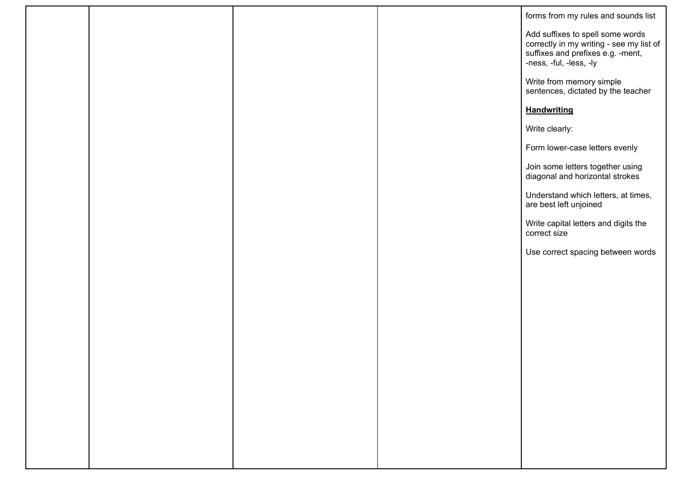|  |  | forms from my rules and sounds list                                                                                                          |
|--|--|----------------------------------------------------------------------------------------------------------------------------------------------|
|  |  | Add suffixes to spell some words<br>correctly in my writing - see my list of<br>suffixes and prefixes e.g. -ment,<br>-ness, -ful, -less, -ly |
|  |  | Write from memory simple<br>sentences, dictated by the teacher                                                                               |
|  |  | <b>Handwriting</b>                                                                                                                           |
|  |  | Write clearly:                                                                                                                               |
|  |  | Form lower-case letters evenly                                                                                                               |
|  |  | Join some letters together using<br>diagonal and horizontal strokes                                                                          |
|  |  | Understand which letters, at times,<br>are best left unjoined                                                                                |
|  |  | Write capital letters and digits the<br>correct size                                                                                         |
|  |  | Use correct spacing between words                                                                                                            |
|  |  |                                                                                                                                              |
|  |  |                                                                                                                                              |
|  |  |                                                                                                                                              |
|  |  |                                                                                                                                              |
|  |  |                                                                                                                                              |
|  |  |                                                                                                                                              |
|  |  |                                                                                                                                              |
|  |  |                                                                                                                                              |
|  |  |                                                                                                                                              |
|  |  |                                                                                                                                              |
|  |  |                                                                                                                                              |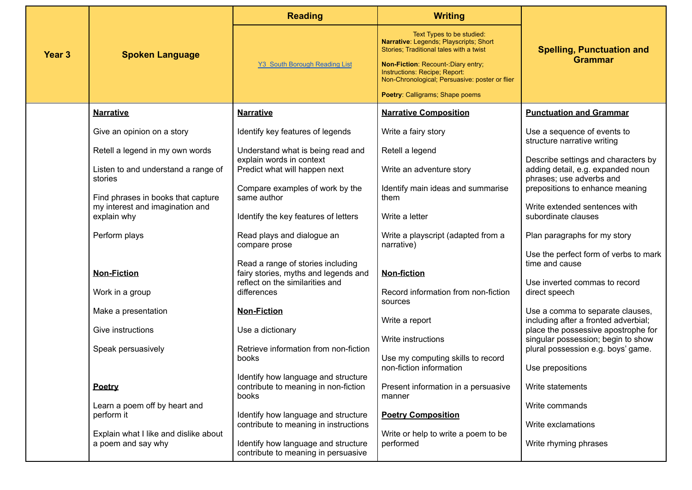|                   |                                                                       | <b>Reading</b>                                                                       | <b>Writing</b>                                                                                                         |                                                                                                      |
|-------------------|-----------------------------------------------------------------------|--------------------------------------------------------------------------------------|------------------------------------------------------------------------------------------------------------------------|------------------------------------------------------------------------------------------------------|
| Year <sub>3</sub> | <b>Spoken Language</b>                                                |                                                                                      | Text Types to be studied:<br>Narrative: Legends; Playscripts; Short<br>Stories; Traditional tales with a twist         | <b>Spelling, Punctuation and</b>                                                                     |
|                   |                                                                       | <b>Y3 South Borough Reading List</b>                                                 | Non-Fiction: Recount-: Diary entry;<br>Instructions: Recipe; Report:<br>Non-Chronological; Persuasive: poster or flier | <b>Grammar</b>                                                                                       |
|                   |                                                                       |                                                                                      | Poetry: Calligrams; Shape poems                                                                                        |                                                                                                      |
|                   | <b>Narrative</b>                                                      | <b>Narrative</b>                                                                     | <b>Narrative Composition</b>                                                                                           | <b>Punctuation and Grammar</b>                                                                       |
|                   | Give an opinion on a story                                            | Identify key features of legends                                                     | Write a fairy story                                                                                                    | Use a sequence of events to<br>structure narrative writing                                           |
|                   | Retell a legend in my own words                                       | Understand what is being read and<br>explain words in context                        | Retell a legend                                                                                                        |                                                                                                      |
|                   | Listen to and understand a range of<br>stories                        | Predict what will happen next                                                        | Write an adventure story                                                                                               | Describe settings and characters by<br>adding detail, e.g. expanded noun<br>phrases; use adverbs and |
|                   |                                                                       | Compare examples of work by the<br>same author                                       | Identify main ideas and summarise<br>them                                                                              | prepositions to enhance meaning                                                                      |
|                   | Find phrases in books that capture<br>my interest and imagination and | Identify the key features of letters                                                 | Write a letter                                                                                                         | Write extended sentences with<br>subordinate clauses                                                 |
|                   | explain why                                                           |                                                                                      |                                                                                                                        |                                                                                                      |
|                   | Perform plays                                                         | Read plays and dialogue an<br>compare prose                                          | Write a playscript (adapted from a<br>narrative)                                                                       | Plan paragraphs for my story                                                                         |
|                   |                                                                       | Read a range of stories including                                                    |                                                                                                                        | Use the perfect form of verbs to mark<br>time and cause                                              |
|                   | <b>Non-Fiction</b>                                                    | fairy stories, myths and legends and<br>reflect on the similarities and              | <b>Non-fiction</b>                                                                                                     | Use inverted commas to record                                                                        |
|                   | Work in a group                                                       | differences                                                                          | Record information from non-fiction<br>sources                                                                         | direct speech                                                                                        |
|                   | Make a presentation                                                   | <b>Non-Fiction</b>                                                                   | Write a report                                                                                                         | Use a comma to separate clauses,<br>including after a fronted adverbial;                             |
|                   | Give instructions                                                     | Use a dictionary                                                                     | Write instructions                                                                                                     | place the possessive apostrophe for<br>singular possession; begin to show                            |
|                   | Speak persuasively                                                    | Retrieve information from non-fiction<br>books                                       | Use my computing skills to record                                                                                      | plural possession e.g. boys' game.                                                                   |
|                   |                                                                       |                                                                                      | non-fiction information                                                                                                | Use prepositions                                                                                     |
|                   | Poetry                                                                | Identify how language and structure<br>contribute to meaning in non-fiction<br>books | Present information in a persuasive<br>manner                                                                          | Write statements                                                                                     |
|                   | Learn a poem off by heart and<br>perform it                           | Identify how language and structure                                                  | <b>Poetry Composition</b>                                                                                              | Write commands                                                                                       |
|                   | Explain what I like and dislike about                                 | contribute to meaning in instructions                                                | Write or help to write a poem to be                                                                                    | Write exclamations                                                                                   |
|                   | a poem and say why                                                    | Identify how language and structure<br>contribute to meaning in persuasive           | performed                                                                                                              | Write rhyming phrases                                                                                |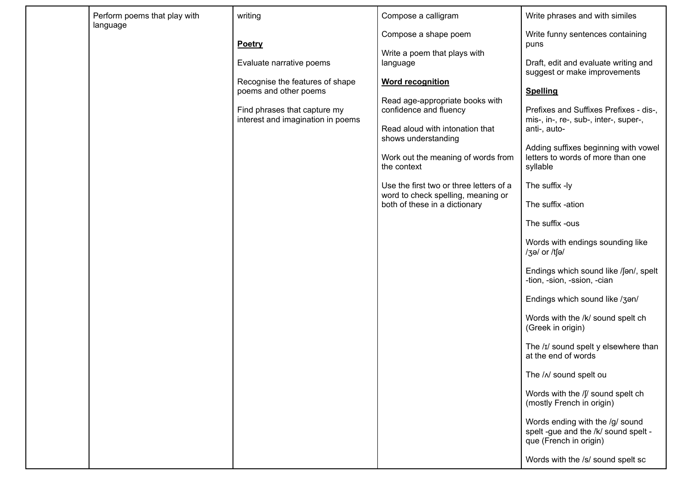| Perform poems that play with | writing                                                                                                                                                                    | Compose a calligram                                                                                                                                                                                                                                                                                                                                                                       | Write phrases and with similes                                                                                                                                                                                                                                                                                                                                                                                                                                                                                                                                                                                                                                                                                                                                                                                                                                                     |
|------------------------------|----------------------------------------------------------------------------------------------------------------------------------------------------------------------------|-------------------------------------------------------------------------------------------------------------------------------------------------------------------------------------------------------------------------------------------------------------------------------------------------------------------------------------------------------------------------------------------|------------------------------------------------------------------------------------------------------------------------------------------------------------------------------------------------------------------------------------------------------------------------------------------------------------------------------------------------------------------------------------------------------------------------------------------------------------------------------------------------------------------------------------------------------------------------------------------------------------------------------------------------------------------------------------------------------------------------------------------------------------------------------------------------------------------------------------------------------------------------------------|
| language                     | <b>Poetry</b><br>Evaluate narrative poems<br>Recognise the features of shape<br>poems and other poems<br>Find phrases that capture my<br>interest and imagination in poems | Compose a shape poem<br>Write a poem that plays with<br>language<br><b>Word recognition</b><br>Read age-appropriate books with<br>confidence and fluency<br>Read aloud with intonation that<br>shows understanding<br>Work out the meaning of words from<br>the context<br>Use the first two or three letters of a<br>word to check spelling, meaning or<br>both of these in a dictionary | Write funny sentences containing<br>puns<br>Draft, edit and evaluate writing and<br>suggest or make improvements<br><b>Spelling</b><br>Prefixes and Suffixes Prefixes - dis-,<br>mis-, in-, re-, sub-, inter-, super-,<br>anti-, auto-<br>Adding suffixes beginning with vowel<br>letters to words of more than one<br>syllable<br>The suffix -ly<br>The suffix -ation<br>The suffix -ous<br>Words with endings sounding like<br>/3ə/ or /tʃə/<br>Endings which sound like /fan/, spelt<br>-tion, -sion, -ssion, -cian<br>Endings which sound like /3an/<br>Words with the /k/ sound spelt ch<br>(Greek in origin)<br>The /ɪ/ sound spelt y elsewhere than<br>at the end of words<br>The / N sound spelt ou<br>Words with the /f/ sound spelt ch<br>(mostly French in origin)<br>Words ending with the /g/ sound<br>spelt -gue and the /k/ sound spelt -<br>que (French in origin) |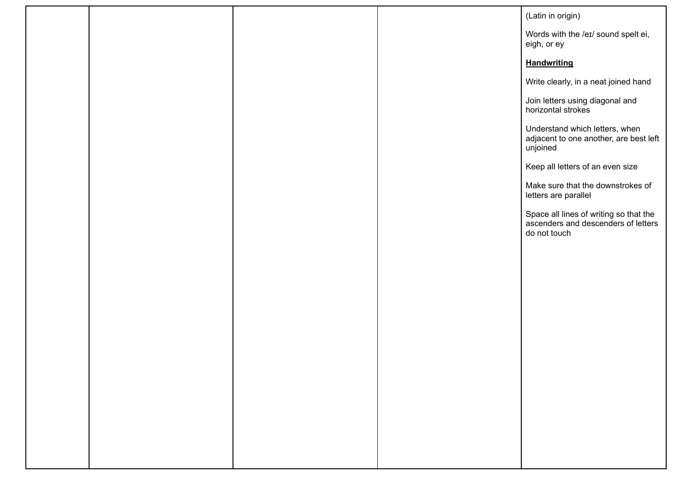|  |  | (Latin in origin)                                                                             |
|--|--|-----------------------------------------------------------------------------------------------|
|  |  | Words with the /eɪ/ sound spelt ei,<br>eigh, or ey                                            |
|  |  | <b>Handwriting</b>                                                                            |
|  |  | Write clearly, in a neat joined hand                                                          |
|  |  | Join letters using diagonal and<br>horizontal strokes                                         |
|  |  | Understand which letters, when<br>adjacent to one another, are best left<br>unjoined          |
|  |  | Keep all letters of an even size                                                              |
|  |  | Make sure that the downstrokes of<br>letters are parallel                                     |
|  |  | Space all lines of writing so that the<br>ascenders and descenders of letters<br>do not touch |
|  |  |                                                                                               |
|  |  |                                                                                               |
|  |  |                                                                                               |
|  |  |                                                                                               |
|  |  |                                                                                               |
|  |  |                                                                                               |
|  |  |                                                                                               |
|  |  |                                                                                               |
|  |  |                                                                                               |
|  |  |                                                                                               |
|  |  |                                                                                               |
|  |  |                                                                                               |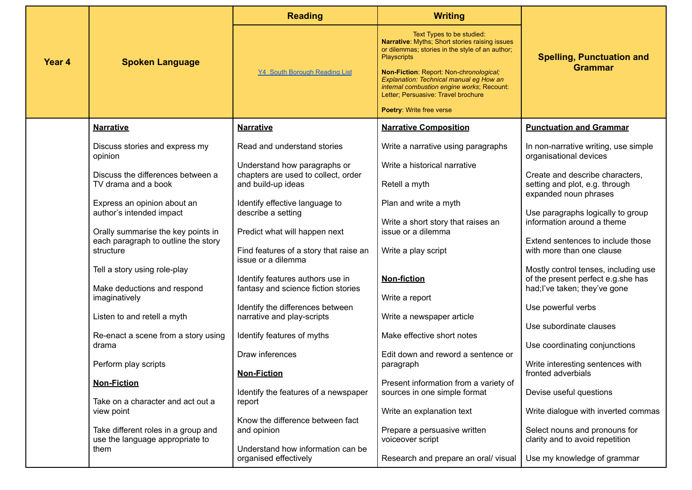|        |                                                                                        | <b>Reading</b>                                                                                | <b>Writing</b>                                                                                                                                                                                                                                                                                                                                              |                                                                                                             |
|--------|----------------------------------------------------------------------------------------|-----------------------------------------------------------------------------------------------|-------------------------------------------------------------------------------------------------------------------------------------------------------------------------------------------------------------------------------------------------------------------------------------------------------------------------------------------------------------|-------------------------------------------------------------------------------------------------------------|
| Year 4 | <b>Spoken Language</b>                                                                 | <b>Y4 South Borough Reading List</b>                                                          | Text Types to be studied:<br>Narrative: Myths; Short stories raising issues<br>or dilemmas; stories in the style of an author;<br><b>Playscripts</b><br>Non-Fiction: Report: Non-chronological;<br>Explanation: Technical manual eg How an<br>internal combustion engine works; Recount:<br>Letter; Persuasive: Travel brochure<br>Poetry: Write free verse | <b>Spelling, Punctuation and</b><br><b>Grammar</b>                                                          |
|        | <b>Narrative</b>                                                                       | <b>Narrative</b>                                                                              | <b>Narrative Composition</b>                                                                                                                                                                                                                                                                                                                                | <b>Punctuation and Grammar</b>                                                                              |
|        | Discuss stories and express my<br>opinion                                              | Read and understand stories<br>Understand how paragraphs or                                   | Write a narrative using paragraphs<br>Write a historical narrative                                                                                                                                                                                                                                                                                          | In non-narrative writing, use simple<br>organisational devices                                              |
|        | Discuss the differences between a<br>TV drama and a book                               | chapters are used to collect, order<br>and build-up ideas                                     | Retell a myth                                                                                                                                                                                                                                                                                                                                               | Create and describe characters,<br>setting and plot, e.g. through<br>expanded noun phrases                  |
|        | Express an opinion about an<br>author's intended impact                                | Identify effective language to<br>describe a setting                                          | Plan and write a myth<br>Write a short story that raises an                                                                                                                                                                                                                                                                                                 | Use paragraphs logically to group<br>information around a theme                                             |
|        | Orally summarise the key points in<br>each paragraph to outline the story<br>structure | Predict what will happen next<br>Find features of a story that raise an                       | issue or a dilemma<br>Write a play script                                                                                                                                                                                                                                                                                                                   | Extend sentences to include those<br>with more than one clause                                              |
|        | Tell a story using role-play<br>Make deductions and respond                            | issue or a dilemma<br>Identify features authors use in<br>fantasy and science fiction stories | <b>Non-fiction</b>                                                                                                                                                                                                                                                                                                                                          | Mostly control tenses, including use<br>of the present perfect e.g.she has<br>had; I've taken; they've gone |
|        | imaginatively<br>Listen to and retell a myth                                           | Identify the differences between<br>narrative and play-scripts                                | Write a report<br>Write a newspaper article                                                                                                                                                                                                                                                                                                                 | Use powerful verbs                                                                                          |
|        | Re-enact a scene from a story using<br>drama                                           | Identify features of myths                                                                    | Make effective short notes                                                                                                                                                                                                                                                                                                                                  | Use subordinate clauses<br>Use coordinating conjunctions                                                    |
|        | Perform play scripts                                                                   | Draw inferences<br><b>Non-Fiction</b>                                                         | Edit down and reword a sentence or<br>paragraph                                                                                                                                                                                                                                                                                                             | Write interesting sentences with<br>fronted adverbials                                                      |
|        | <b>Non-Fiction</b><br>Take on a character and act out a                                | Identify the features of a newspaper<br>report                                                | Present information from a variety of<br>sources in one simple format                                                                                                                                                                                                                                                                                       | Devise useful questions                                                                                     |
|        | view point<br>Take different roles in a group and                                      | Know the difference between fact<br>and opinion                                               | Write an explanation text<br>Prepare a persuasive written                                                                                                                                                                                                                                                                                                   | Write dialogue with inverted commas<br>Select nouns and pronouns for                                        |
|        | use the language appropriate to<br>them                                                | Understand how information can be                                                             | voiceover script                                                                                                                                                                                                                                                                                                                                            | clarity and to avoid repetition                                                                             |
|        |                                                                                        | organised effectively                                                                         | Research and prepare an oral/visual                                                                                                                                                                                                                                                                                                                         | Use my knowledge of grammar                                                                                 |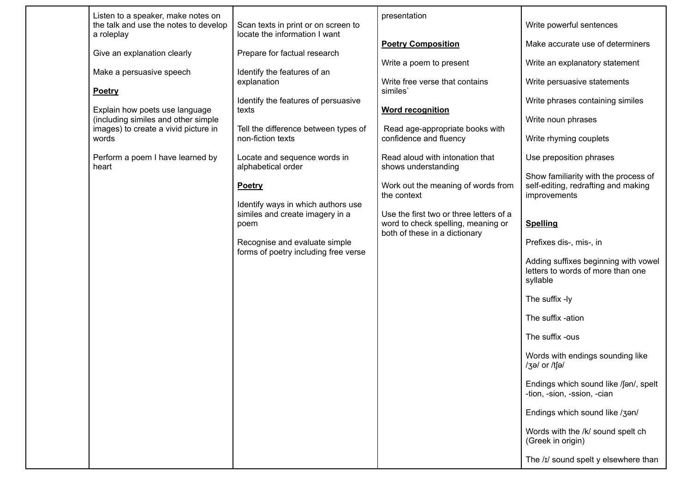| Listen to a speaker, make notes on<br>the talk and use the notes to develop | Scan texts in print or on screen to                                   | presentation                                                        | Write powerful sentences                                                                    |
|-----------------------------------------------------------------------------|-----------------------------------------------------------------------|---------------------------------------------------------------------|---------------------------------------------------------------------------------------------|
| a roleplay                                                                  | locate the information I want                                         | <b>Poetry Composition</b>                                           | Make accurate use of determiners                                                            |
| Give an explanation clearly                                                 | Prepare for factual research                                          | Write a poem to present                                             | Write an explanatory statement                                                              |
| Make a persuasive speech<br>Poetry                                          | Identify the features of an<br>explanation                            | Write free verse that contains<br>similes'                          | Write persuasive statements                                                                 |
| Explain how poets use language                                              | Identify the features of persuasive<br>texts                          | <b>Word recognition</b>                                             | Write phrases containing similes                                                            |
| (including similes and other simple<br>images) to create a vivid picture in | Tell the difference between types of                                  | Read age-appropriate books with                                     | Write noun phrases                                                                          |
| words                                                                       | non-fiction texts                                                     | confidence and fluency                                              | Write rhyming couplets                                                                      |
| Perform a poem I have learned by<br>heart                                   | Locate and sequence words in<br>alphabetical order                    | Read aloud with intonation that<br>shows understanding              | Use preposition phrases                                                                     |
|                                                                             | <b>Poetry</b>                                                         | Work out the meaning of words from<br>the context                   | Show familiarity with the process of<br>self-editing, redrafting and making<br>improvements |
|                                                                             | Identify ways in which authors use<br>similes and create imagery in a | Use the first two or three letters of a                             |                                                                                             |
|                                                                             | poem                                                                  | word to check spelling, meaning or<br>both of these in a dictionary | <b>Spelling</b>                                                                             |
|                                                                             | Recognise and evaluate simple<br>forms of poetry including free verse |                                                                     | Prefixes dis-, mis-, in                                                                     |
|                                                                             |                                                                       |                                                                     | Adding suffixes beginning with vowel<br>letters to words of more than one<br>syllable       |
|                                                                             |                                                                       |                                                                     | The suffix -ly                                                                              |
|                                                                             |                                                                       |                                                                     | The suffix -ation                                                                           |
|                                                                             |                                                                       |                                                                     | The suffix -ous                                                                             |
|                                                                             |                                                                       |                                                                     | Words with endings sounding like<br>/3ə/ or /tʃə/                                           |
|                                                                             |                                                                       |                                                                     | Endings which sound like /fan/, spelt<br>-tion, -sion, -ssion, -cian                        |
|                                                                             |                                                                       |                                                                     | Endings which sound like /3an/                                                              |
|                                                                             |                                                                       |                                                                     | Words with the /k/ sound spelt ch<br>(Greek in origin)                                      |
|                                                                             |                                                                       |                                                                     | The /I/ sound spelt y elsewhere than                                                        |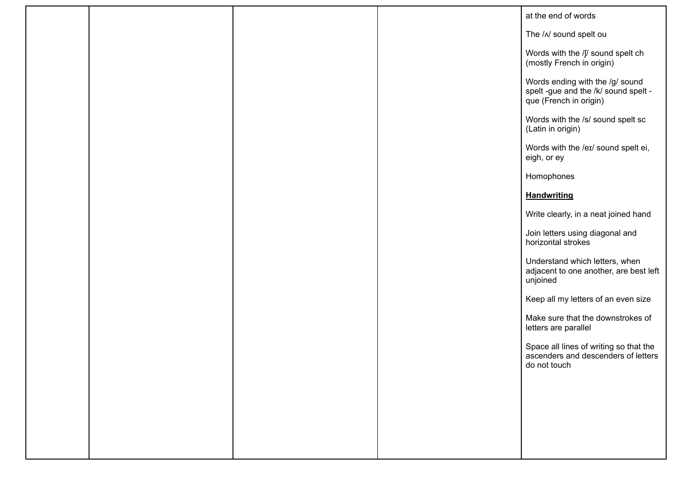|  |  | at the end of words                                                                               |
|--|--|---------------------------------------------------------------------------------------------------|
|  |  | The / N sound spelt ou                                                                            |
|  |  | Words with the /f/ sound spelt ch<br>(mostly French in origin)                                    |
|  |  | Words ending with the /g/ sound<br>spelt -gue and the /k/ sound spelt -<br>que (French in origin) |
|  |  | Words with the /s/ sound spelt sc<br>(Latin in origin)                                            |
|  |  | Words with the /eɪ/ sound spelt ei,<br>eigh, or ey                                                |
|  |  | Homophones                                                                                        |
|  |  | <b>Handwriting</b>                                                                                |
|  |  | Write clearly, in a neat joined hand                                                              |
|  |  | Join letters using diagonal and<br>horizontal strokes                                             |
|  |  | Understand which letters, when<br>adjacent to one another, are best left<br>unjoined              |
|  |  | Keep all my letters of an even size                                                               |
|  |  | Make sure that the downstrokes of<br>letters are parallel                                         |
|  |  | Space all lines of writing so that the<br>ascenders and descenders of letters<br>do not touch     |
|  |  |                                                                                                   |
|  |  |                                                                                                   |
|  |  |                                                                                                   |
|  |  |                                                                                                   |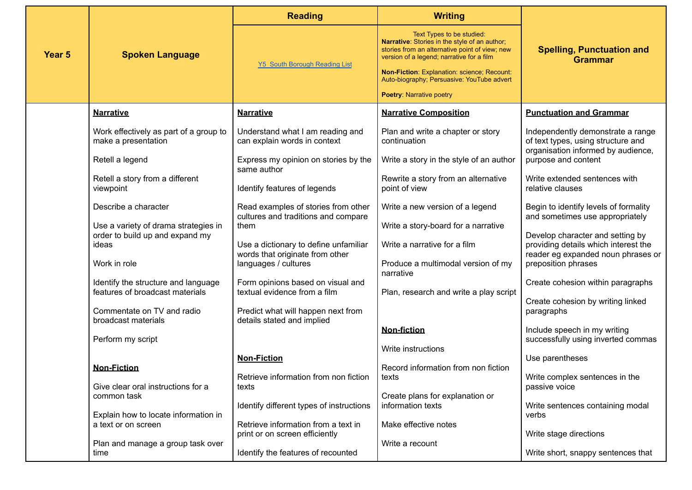|                   | <b>Spoken Language</b>                                                  | <b>Reading</b>                                                             | <b>Writing</b>                                                                                                                                                            | <b>Spelling, Punctuation and</b><br><b>Grammar</b>                                                            |  |
|-------------------|-------------------------------------------------------------------------|----------------------------------------------------------------------------|---------------------------------------------------------------------------------------------------------------------------------------------------------------------------|---------------------------------------------------------------------------------------------------------------|--|
| Year <sub>5</sub> |                                                                         | <b>Y5 South Borough Reading List</b>                                       | Text Types to be studied:<br>Narrative: Stories in the style of an author;<br>stories from an alternative point of view; new<br>version of a legend; narrative for a film |                                                                                                               |  |
|                   |                                                                         |                                                                            | Non-Fiction: Explanation: science; Recount:<br>Auto-biography; Persuasive: YouTube advert                                                                                 |                                                                                                               |  |
|                   |                                                                         |                                                                            | <b>Poetry: Narrative poetry</b>                                                                                                                                           |                                                                                                               |  |
|                   | <b>Narrative</b>                                                        | <b>Narrative</b>                                                           | <b>Narrative Composition</b>                                                                                                                                              | <b>Punctuation and Grammar</b>                                                                                |  |
|                   | Work effectively as part of a group to<br>make a presentation           | Understand what I am reading and<br>can explain words in context           | Plan and write a chapter or story<br>continuation                                                                                                                         | Independently demonstrate a range<br>of text types, using structure and<br>organisation informed by audience, |  |
|                   | Retell a legend                                                         | Express my opinion on stories by the<br>same author                        | Write a story in the style of an author                                                                                                                                   | purpose and content                                                                                           |  |
|                   | Retell a story from a different<br>viewpoint                            | Identify features of legends                                               | Rewrite a story from an alternative<br>point of view                                                                                                                      | Write extended sentences with<br>relative clauses                                                             |  |
|                   | Describe a character                                                    | Read examples of stories from other<br>cultures and traditions and compare | Write a new version of a legend                                                                                                                                           | Begin to identify levels of formality<br>and sometimes use appropriately                                      |  |
|                   | Use a variety of drama strategies in<br>order to build up and expand my | them                                                                       | Write a story-board for a narrative                                                                                                                                       | Develop character and setting by                                                                              |  |
|                   | ideas                                                                   | Use a dictionary to define unfamiliar<br>words that originate from other   | Write a narrative for a film                                                                                                                                              | providing details which interest the<br>reader eg expanded noun phrases or                                    |  |
|                   | Work in role                                                            | languages / cultures                                                       | Produce a multimodal version of my<br>narrative                                                                                                                           | preposition phrases                                                                                           |  |
|                   | Identify the structure and language<br>features of broadcast materials  | Form opinions based on visual and<br>textual evidence from a film          | Plan, research and write a play script                                                                                                                                    | Create cohesion within paragraphs                                                                             |  |
|                   | Commentate on TV and radio<br>broadcast materials                       | Predict what will happen next from<br>details stated and implied           |                                                                                                                                                                           | Create cohesion by writing linked<br>paragraphs                                                               |  |
|                   | Perform my script                                                       |                                                                            | <b>Non-fiction</b>                                                                                                                                                        | Include speech in my writing<br>successfully using inverted commas                                            |  |
|                   |                                                                         | <b>Non-Fiction</b>                                                         | Write instructions                                                                                                                                                        | Use parentheses                                                                                               |  |
|                   | <b>Non-Fiction</b><br>Give clear oral instructions for a                | Retrieve information from non fiction<br>texts                             | Record information from non fiction<br>texts                                                                                                                              | Write complex sentences in the<br>passive voice                                                               |  |
|                   | common task                                                             | Identify different types of instructions                                   | Create plans for explanation or<br>information texts                                                                                                                      | Write sentences containing modal                                                                              |  |
|                   | Explain how to locate information in<br>a text or on screen             | Retrieve information from a text in<br>print or on screen efficiently      | Make effective notes                                                                                                                                                      | verbs<br>Write stage directions                                                                               |  |
|                   | Plan and manage a group task over<br>time                               | Identify the features of recounted                                         | Write a recount                                                                                                                                                           | Write short, snappy sentences that                                                                            |  |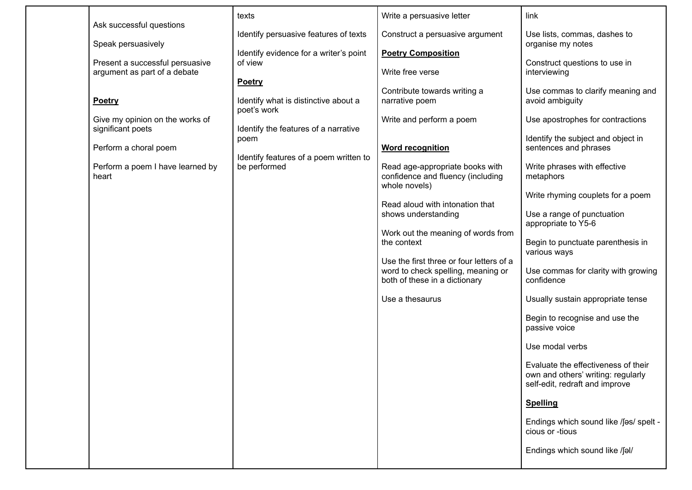|                                                                                         | texts                                                                                                                                         | Write a persuasive letter                                                                                                                                                             | link                                                                                                                                                    |
|-----------------------------------------------------------------------------------------|-----------------------------------------------------------------------------------------------------------------------------------------------|---------------------------------------------------------------------------------------------------------------------------------------------------------------------------------------|---------------------------------------------------------------------------------------------------------------------------------------------------------|
| Ask successful questions<br>Speak persuasively                                          | Identify persuasive features of texts                                                                                                         | Construct a persuasive argument                                                                                                                                                       | Use lists, commas, dashes to<br>organise my notes                                                                                                       |
| Present a successful persuasive<br>argument as part of a debate                         | Identify evidence for a writer's point<br>of view<br><b>Poetry</b>                                                                            | <b>Poetry Composition</b><br>Write free verse                                                                                                                                         | Construct questions to use in<br>interviewing                                                                                                           |
| Poetry<br>Give my opinion on the works of<br>significant poets<br>Perform a choral poem | Identify what is distinctive about a<br>poet's work<br>Identify the features of a narrative<br>poem<br>Identify features of a poem written to | Contribute towards writing a<br>narrative poem<br>Write and perform a poem<br><b>Word recognition</b>                                                                                 | Use commas to clarify meaning and<br>avoid ambiguity<br>Use apostrophes for contractions<br>Identify the subject and object in<br>sentences and phrases |
| Perform a poem I have learned by<br>heart                                               | be performed                                                                                                                                  | Read age-appropriate books with<br>confidence and fluency (including<br>whole novels)<br>Read aloud with intonation that<br>shows understanding<br>Work out the meaning of words from | Write phrases with effective<br>metaphors<br>Write rhyming couplets for a poem<br>Use a range of punctuation<br>appropriate to Y5-6                     |
|                                                                                         |                                                                                                                                               | the context<br>Use the first three or four letters of a<br>word to check spelling, meaning or<br>both of these in a dictionary<br>Use a thesaurus                                     | Begin to punctuate parenthesis in<br>various ways<br>Use commas for clarity with growing<br>confidence<br>Usually sustain appropriate tense             |
|                                                                                         |                                                                                                                                               |                                                                                                                                                                                       | Begin to recognise and use the<br>passive voice                                                                                                         |
|                                                                                         |                                                                                                                                               |                                                                                                                                                                                       | Use modal verbs<br>Evaluate the effectiveness of their                                                                                                  |
|                                                                                         |                                                                                                                                               |                                                                                                                                                                                       | own and others' writing: regularly<br>self-edit, redraft and improve                                                                                    |
|                                                                                         |                                                                                                                                               |                                                                                                                                                                                       | <b>Spelling</b>                                                                                                                                         |
|                                                                                         |                                                                                                                                               |                                                                                                                                                                                       | Endings which sound like /fas/ spelt -<br>cious or -tious                                                                                               |
|                                                                                         |                                                                                                                                               |                                                                                                                                                                                       | Endings which sound like /fal/                                                                                                                          |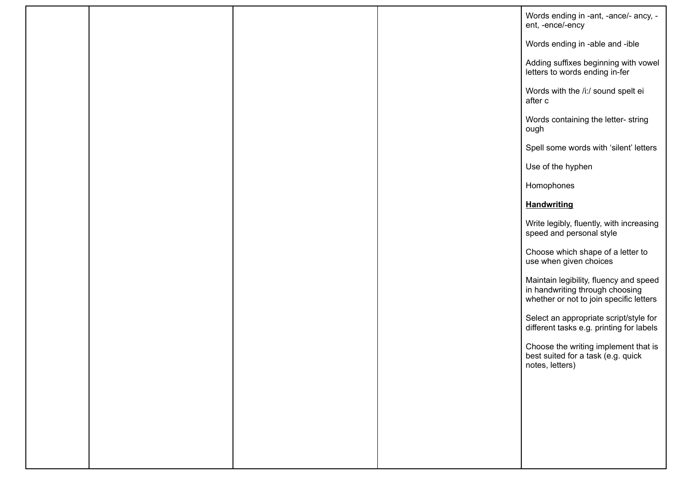|  |  | Words ending in -ant, -ance/- ancy, -<br>ent, -ence/-ency                                                            |
|--|--|----------------------------------------------------------------------------------------------------------------------|
|  |  | Words ending in -able and -ible                                                                                      |
|  |  | Adding suffixes beginning with vowel<br>letters to words ending in-fer                                               |
|  |  | Words with the /i:/ sound spelt ei<br>after c                                                                        |
|  |  | Words containing the letter-string<br>ough                                                                           |
|  |  | Spell some words with 'silent' letters                                                                               |
|  |  | Use of the hyphen                                                                                                    |
|  |  | Homophones                                                                                                           |
|  |  | <b>Handwriting</b>                                                                                                   |
|  |  | Write legibly, fluently, with increasing<br>speed and personal style                                                 |
|  |  | Choose which shape of a letter to<br>use when given choices                                                          |
|  |  | Maintain legibility, fluency and speed<br>in handwriting through choosing<br>whether or not to join specific letters |
|  |  | Select an appropriate script/style for<br>different tasks e.g. printing for labels                                   |
|  |  | Choose the writing implement that is<br>best suited for a task (e.g. quick<br>notes, letters)                        |
|  |  |                                                                                                                      |
|  |  |                                                                                                                      |
|  |  |                                                                                                                      |
|  |  |                                                                                                                      |
|  |  |                                                                                                                      |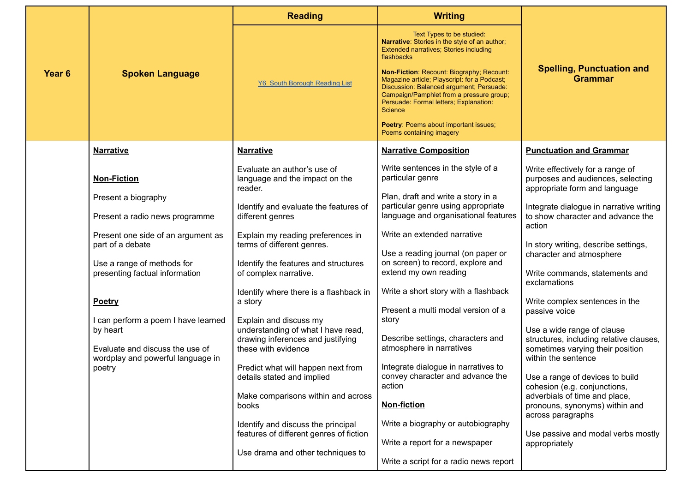|                   | <b>Spoken Language</b>                                                                                                  | <b>Reading</b>                                                                                                           | <b>Writing</b>                                                                                                                                                                                                                                                                                                                                                                                                                                                  |                                                                                                                                  |
|-------------------|-------------------------------------------------------------------------------------------------------------------------|--------------------------------------------------------------------------------------------------------------------------|-----------------------------------------------------------------------------------------------------------------------------------------------------------------------------------------------------------------------------------------------------------------------------------------------------------------------------------------------------------------------------------------------------------------------------------------------------------------|----------------------------------------------------------------------------------------------------------------------------------|
| Year <sub>6</sub> |                                                                                                                         | <b>Y6 South Borough Reading List</b>                                                                                     | Text Types to be studied:<br>Narrative: Stories in the style of an author;<br>Extended narratives; Stories including<br>flashbacks<br>Non-Fiction: Recount: Biography; Recount:<br>Magazine article; Playscript: for a Podcast;<br>Discussion: Balanced argument; Persuade:<br>Campaign/Pamphlet from a pressure group;<br>Persuade: Formal letters; Explanation:<br><b>Science</b><br><b>Poetry: Poems about important issues;</b><br>Poems containing imagery | <b>Spelling, Punctuation and</b><br><b>Grammar</b>                                                                               |
|                   | <b>Narrative</b>                                                                                                        | <b>Narrative</b>                                                                                                         | <b>Narrative Composition</b>                                                                                                                                                                                                                                                                                                                                                                                                                                    | <b>Punctuation and Grammar</b>                                                                                                   |
|                   | <b>Non-Fiction</b>                                                                                                      | Evaluate an author's use of<br>language and the impact on the<br>reader.                                                 | Write sentences in the style of a<br>particular genre                                                                                                                                                                                                                                                                                                                                                                                                           | Write effectively for a range of<br>purposes and audiences, selecting<br>appropriate form and language                           |
|                   | Present a biography<br>Present a radio news programme                                                                   | Identify and evaluate the features of<br>different genres                                                                | Plan, draft and write a story in a<br>particular genre using appropriate<br>language and organisational features                                                                                                                                                                                                                                                                                                                                                | Integrate dialogue in narrative writing<br>to show character and advance the<br>action                                           |
|                   | Present one side of an argument as<br>part of a debate                                                                  | Explain my reading preferences in<br>terms of different genres.                                                          | Write an extended narrative<br>Use a reading journal (on paper or<br>on screen) to record, explore and                                                                                                                                                                                                                                                                                                                                                          | In story writing, describe settings,<br>character and atmosphere                                                                 |
|                   | Use a range of methods for<br>presenting factual information                                                            | Identify the features and structures<br>of complex narrative.                                                            | extend my own reading<br>Write a short story with a flashback                                                                                                                                                                                                                                                                                                                                                                                                   | Write commands, statements and<br>exclamations                                                                                   |
|                   | Poetry                                                                                                                  | Identify where there is a flashback in<br>a story                                                                        | Present a multi modal version of a<br>story                                                                                                                                                                                                                                                                                                                                                                                                                     | Write complex sentences in the<br>passive voice                                                                                  |
|                   | I can perform a poem I have learned<br>by heart<br>Evaluate and discuss the use of<br>wordplay and powerful language in | Explain and discuss my<br>understanding of what I have read,<br>drawing inferences and justifying<br>these with evidence | Describe settings, characters and<br>atmosphere in narratives                                                                                                                                                                                                                                                                                                                                                                                                   | Use a wide range of clause<br>structures, including relative clauses,<br>sometimes varying their position<br>within the sentence |
|                   | poetry                                                                                                                  | Predict what will happen next from<br>details stated and implied                                                         | Integrate dialogue in narratives to<br>convey character and advance the<br>action                                                                                                                                                                                                                                                                                                                                                                               | Use a range of devices to build<br>cohesion (e.g. conjunctions,                                                                  |
|                   |                                                                                                                         | Make comparisons within and across<br>books                                                                              | <b>Non-fiction</b>                                                                                                                                                                                                                                                                                                                                                                                                                                              | adverbials of time and place,<br>pronouns, synonyms) within and<br>across paragraphs                                             |
|                   |                                                                                                                         | Identify and discuss the principal<br>features of different genres of fiction                                            | Write a biography or autobiography<br>Write a report for a newspaper                                                                                                                                                                                                                                                                                                                                                                                            | Use passive and modal verbs mostly<br>appropriately                                                                              |
|                   |                                                                                                                         | Use drama and other techniques to                                                                                        | Write a script for a radio news report                                                                                                                                                                                                                                                                                                                                                                                                                          |                                                                                                                                  |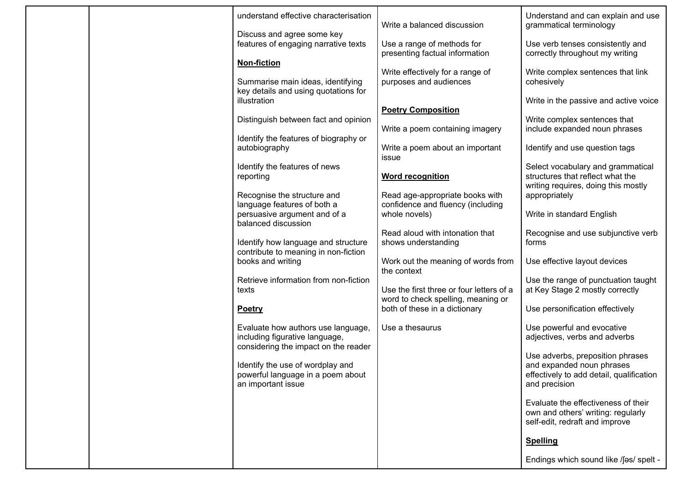|  | understand effective characterisation                                                                        | Write a balanced discussion                                                    | Understand and can explain and use<br>grammatical terminology                                                              |
|--|--------------------------------------------------------------------------------------------------------------|--------------------------------------------------------------------------------|----------------------------------------------------------------------------------------------------------------------------|
|  | Discuss and agree some key<br>features of engaging narrative texts                                           | Use a range of methods for<br>presenting factual information                   | Use verb tenses consistently and<br>correctly throughout my writing                                                        |
|  | <b>Non-fiction</b><br>Summarise main ideas, identifying                                                      | Write effectively for a range of<br>purposes and audiences                     | Write complex sentences that link<br>cohesively                                                                            |
|  | key details and using quotations for<br>illustration                                                         |                                                                                | Write in the passive and active voice                                                                                      |
|  | Distinguish between fact and opinion                                                                         | <b>Poetry Composition</b><br>Write a poem containing imagery                   | Write complex sentences that<br>include expanded noun phrases                                                              |
|  | Identify the features of biography or<br>autobiography                                                       | Write a poem about an important<br>issue                                       | Identify and use question tags                                                                                             |
|  | Identify the features of news<br>reporting                                                                   | <b>Word recognition</b>                                                        | Select vocabulary and grammatical<br>structures that reflect what the<br>writing requires, doing this mostly               |
|  | Recognise the structure and<br>language features of both a                                                   | Read age-appropriate books with<br>confidence and fluency (including           | appropriately                                                                                                              |
|  | persuasive argument and of a<br>balanced discussion                                                          | whole novels)<br>Read aloud with intonation that                               | Write in standard English<br>Recognise and use subjunctive verb                                                            |
|  | Identify how language and structure<br>contribute to meaning in non-fiction<br>books and writing             | shows understanding<br>Work out the meaning of words from                      | forms                                                                                                                      |
|  | Retrieve information from non-fiction                                                                        | the context                                                                    | Use effective layout devices<br>Use the range of punctuation taught                                                        |
|  | texts                                                                                                        | Use the first three or four letters of a<br>word to check spelling, meaning or | at Key Stage 2 mostly correctly                                                                                            |
|  | <b>Poetry</b>                                                                                                | both of these in a dictionary                                                  | Use personification effectively                                                                                            |
|  | Evaluate how authors use language,<br>including figurative language,<br>considering the impact on the reader | Use a thesaurus                                                                | Use powerful and evocative<br>adjectives, verbs and adverbs                                                                |
|  | Identify the use of wordplay and<br>powerful language in a poem about<br>an important issue                  |                                                                                | Use adverbs, preposition phrases<br>and expanded noun phrases<br>effectively to add detail, qualification<br>and precision |
|  |                                                                                                              |                                                                                | Evaluate the effectiveness of their<br>own and others' writing: regularly<br>self-edit, redraft and improve                |
|  |                                                                                                              |                                                                                | <b>Spelling</b>                                                                                                            |
|  |                                                                                                              |                                                                                | Endings which sound like /fas/ spelt -                                                                                     |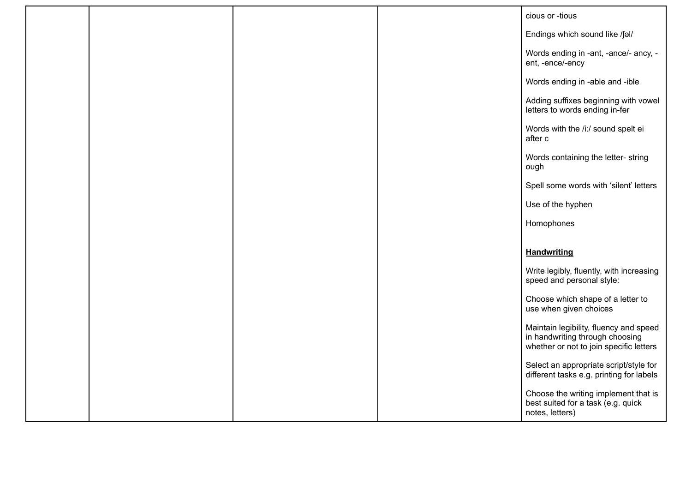|  |  | cious or -tious                                                                                                      |
|--|--|----------------------------------------------------------------------------------------------------------------------|
|  |  | Endings which sound like /fal/                                                                                       |
|  |  | Words ending in -ant, -ance/- ancy, -<br>ent, -ence/-ency                                                            |
|  |  | Words ending in -able and -ible                                                                                      |
|  |  | Adding suffixes beginning with vowel<br>letters to words ending in-fer                                               |
|  |  | Words with the /i:/ sound spelt ei<br>after c                                                                        |
|  |  | Words containing the letter- string<br>ough                                                                          |
|  |  | Spell some words with 'silent' letters                                                                               |
|  |  | Use of the hyphen                                                                                                    |
|  |  | Homophones                                                                                                           |
|  |  |                                                                                                                      |
|  |  | <b>Handwriting</b>                                                                                                   |
|  |  | Write legibly, fluently, with increasing<br>speed and personal style:                                                |
|  |  | Choose which shape of a letter to<br>use when given choices                                                          |
|  |  | Maintain legibility, fluency and speed<br>in handwriting through choosing<br>whether or not to join specific letters |
|  |  | Select an appropriate script/style for<br>different tasks e.g. printing for labels                                   |
|  |  | Choose the writing implement that is<br>best suited for a task (e.g. quick<br>notes, letters)                        |